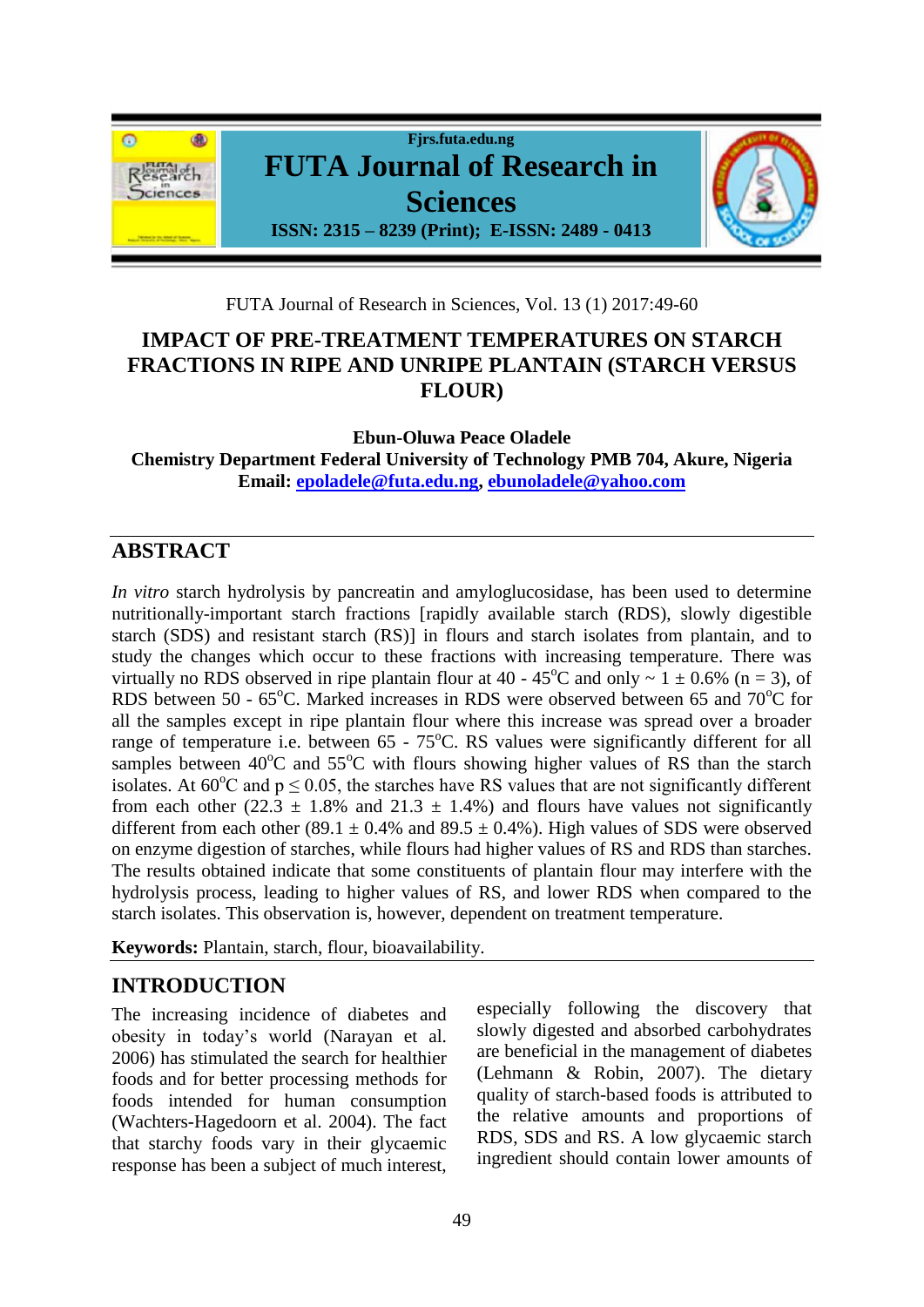

FUTA Journal of Research in Sciences, Vol. 13 (1) 2017:49-60

# **IMPACT OF PRE-TREATMENT TEMPERATURES ON STARCH FRACTIONS IN RIPE AND UNRIPE PLANTAIN (STARCH VERSUS FLOUR)**

**Ebun-Oluwa Peace Oladele Chemistry Department Federal University of Technology PMB 704, Akure, Nigeria Email: [epoladele@futa.edu.ng,](mailto:epoladele@futa.edu.ng) [ebunoladele@yahoo.com](mailto:ebunoladele@yahoo.com)**

# **ABSTRACT**

*In vitro* starch hydrolysis by pancreatin and amyloglucosidase, has been used to determine nutritionally-important starch fractions [rapidly available starch (RDS), slowly digestible starch (SDS) and resistant starch (RS)] in flours and starch isolates from plantain, and to study the changes which occur to these fractions with increasing temperature. There was virtually no RDS observed in ripe plantain flour at 40 - 45<sup>o</sup>C and only  $\sim 1 \pm 0.6\%$  (n = 3), of RDS between 50 -  $65^{\circ}$ C. Marked increases in RDS were observed between 65 and  $70^{\circ}$ C for all the samples except in ripe plantain flour where this increase was spread over a broader range of temperature i.e. between  $65 - 75^{\circ}$ C. RS values were significantly different for all samples between  $40^{\circ}$ C and  $55^{\circ}$ C with flours showing higher values of RS than the starch isolates. At  $60^{\circ}$ C and  $p \le 0.05$ , the starches have RS values that are not significantly different from each other (22.3  $\pm$  1.8% and 21.3  $\pm$  1.4%) and flours have values not significantly different from each other (89.1  $\pm$  0.4% and 89.5  $\pm$  0.4%). High values of SDS were observed on enzyme digestion of starches, while flours had higher values of RS and RDS than starches. The results obtained indicate that some constituents of plantain flour may interfere with the hydrolysis process, leading to higher values of RS, and lower RDS when compared to the starch isolates. This observation is, however, dependent on treatment temperature.

**Keywords:** Plantain, starch, flour, bioavailability.

# **INTRODUCTION**

The increasing incidence of diabetes and obesity in today's world (Narayan et al. 2006) has stimulated the search for healthier foods and for better processing methods for foods intended for human consumption (Wachters-Hagedoorn et al. 2004). The fact that starchy foods vary in their glycaemic response has been a subject of much interest,

especially following the discovery that slowly digested and absorbed carbohydrates are beneficial in the management of diabetes (Lehmann & Robin, 2007). The dietary quality of starch-based foods is attributed to the relative amounts and proportions of RDS, SDS and RS. A low glycaemic starch ingredient should contain lower amounts of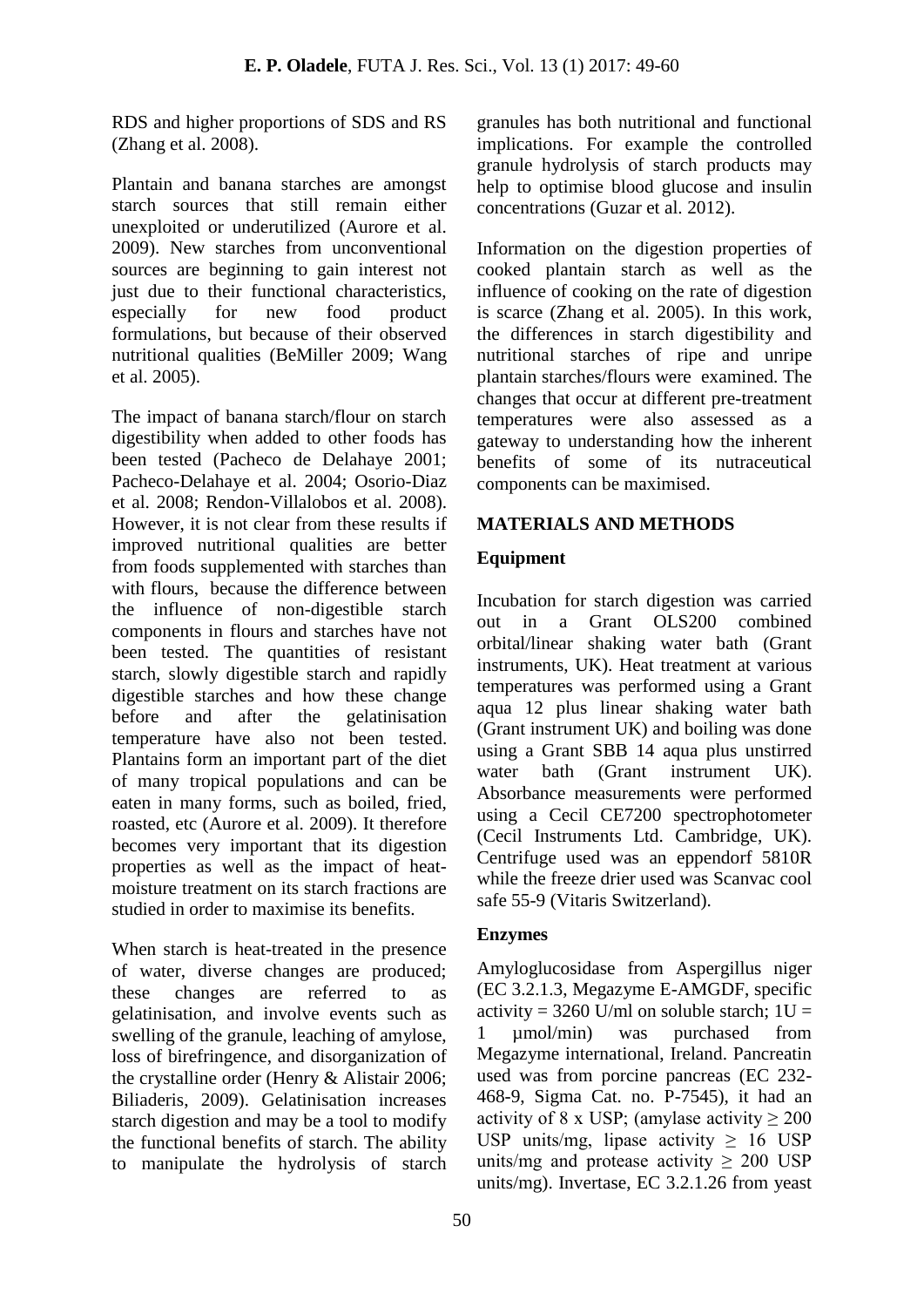RDS and higher proportions of SDS and RS (Zhang et al. 2008).

Plantain and banana starches are amongst starch sources that still remain either unexploited or underutilized (Aurore et al. 2009). New starches from unconventional sources are beginning to gain interest not just due to their functional characteristics, especially for new food product formulations, but because of their observed nutritional qualities (BeMiller 2009; Wang et al. 2005).

The impact of banana starch/flour on starch digestibility when added to other foods has been tested (Pacheco de Delahaye 2001; Pacheco-Delahaye et al. 2004; Osorio-Diaz et al. 2008; Rendon-Villalobos et al. 2008). However, it is not clear from these results if improved nutritional qualities are better from foods supplemented with starches than with flours, because the difference between the influence of non-digestible starch components in flours and starches have not been tested. The quantities of resistant starch, slowly digestible starch and rapidly digestible starches and how these change before and after the gelatinisation temperature have also not been tested. Plantains form an important part of the diet of many tropical populations and can be eaten in many forms, such as boiled, fried, roasted, etc (Aurore et al. 2009). It therefore becomes very important that its digestion properties as well as the impact of heatmoisture treatment on its starch fractions are studied in order to maximise its benefits.

When starch is heat-treated in the presence of water, diverse changes are produced; these changes are referred to as gelatinisation, and involve events such as swelling of the granule, leaching of amylose, loss of birefringence, and disorganization of the crystalline order (Henry & Alistair 2006; Biliaderis, 2009). Gelatinisation increases starch digestion and may be a tool to modify the functional benefits of starch. The ability to manipulate the hydrolysis of starch

granules has both nutritional and functional implications. For example the controlled granule hydrolysis of starch products may help to optimise blood glucose and insulin concentrations (Guzar et al. 2012).

Information on the digestion properties of cooked plantain starch as well as the influence of cooking on the rate of digestion is scarce (Zhang et al. 2005). In this work, the differences in starch digestibility and nutritional starches of ripe and unripe plantain starches/flours were examined. The changes that occur at different pre-treatment temperatures were also assessed as a gateway to understanding how the inherent benefits of some of its nutraceutical components can be maximised.

### **MATERIALS AND METHODS**

### **Equipment**

Incubation for starch digestion was carried out in a Grant OLS200 combined orbital/linear shaking water bath (Grant instruments, UK). Heat treatment at various temperatures was performed using a Grant aqua 12 plus linear shaking water bath (Grant instrument UK) and boiling was done using a Grant SBB 14 aqua plus unstirred water bath (Grant instrument UK). Absorbance measurements were performed using a Cecil CE7200 spectrophotometer (Cecil Instruments Ltd. Cambridge, UK). Centrifuge used was an eppendorf 5810R while the freeze drier used was Scanvac cool safe 55-9 (Vitaris Switzerland).

#### **Enzymes**

Amyloglucosidase from Aspergillus niger (EC 3.2.1.3, Megazyme E-AMGDF, specific activity =  $3260$  U/ml on soluble starch;  $1U =$ 1 µmol/min) was purchased from Megazyme international, Ireland. Pancreatin used was from porcine pancreas (EC 232- 468-9, Sigma Cat. no. P-7545), it had an activity of 8 x USP; (amylase activity  $\geq 200$ ) USP units/mg, lipase activity  $\geq 16$  USP units/mg and protease activity  $\geq 200$  USP units/mg). Invertase, EC 3.2.1.26 from yeast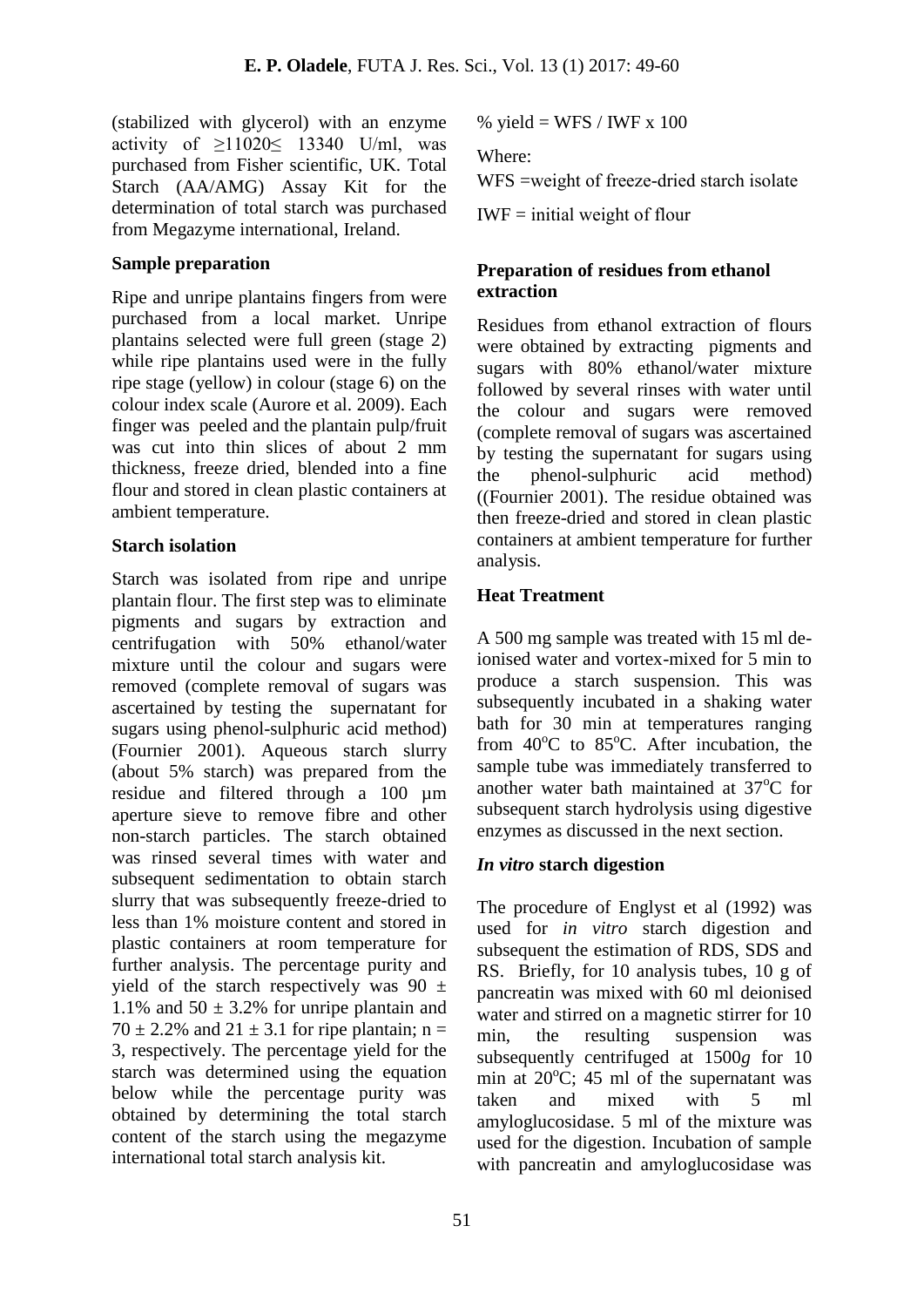(stabilized with glycerol) with an enzyme activity of  $\geq$ 11020 $\leq$  13340 U/ml, was purchased from Fisher scientific, UK. Total Starch (AA/AMG) Assay Kit for the determination of total starch was purchased from Megazyme international, Ireland.

#### **Sample preparation**

Ripe and unripe plantains fingers from were purchased from a local market. Unripe plantains selected were full green (stage 2) while ripe plantains used were in the fully ripe stage (yellow) in colour (stage 6) on the colour index scale (Aurore et al. 2009). Each finger was peeled and the plantain pulp/fruit was cut into thin slices of about 2 mm thickness, freeze dried, blended into a fine flour and stored in clean plastic containers at ambient temperature.

#### **Starch isolation**

Starch was isolated from ripe and unripe plantain flour. The first step was to eliminate pigments and sugars by extraction and centrifugation with 50% ethanol/water mixture until the colour and sugars were removed (complete removal of sugars was ascertained by testing the supernatant for sugars using phenol-sulphuric acid method) (Fournier 2001). Aqueous starch slurry (about 5% starch) was prepared from the residue and filtered through a 100 um aperture sieve to remove fibre and other non-starch particles. The starch obtained was rinsed several times with water and subsequent sedimentation to obtain starch slurry that was subsequently freeze-dried to less than 1% moisture content and stored in plastic containers at room temperature for further analysis. The percentage purity and yield of the starch respectively was  $90 \pm$ 1.1% and  $50 \pm 3.2$ % for unripe plantain and  $70 \pm 2.2\%$  and  $21 \pm 3.1$  for ripe plantain; n = 3, respectively. The percentage yield for the starch was determined using the equation below while the percentage purity was obtained by determining the total starch content of the starch using the megazyme international total starch analysis kit.

% yield = WFS / IWF x  $100$ 

Where:

 $WFS$  =weight of freeze-dried starch isolate

 $IWF = initial weight of flour$ 

#### **Preparation of residues from ethanol extraction**

Residues from ethanol extraction of flours were obtained by extracting pigments and sugars with 80% ethanol/water mixture followed by several rinses with water until the colour and sugars were removed (complete removal of sugars was ascertained by testing the supernatant for sugars using the phenol-sulphuric acid method) ((Fournier 2001). The residue obtained was then freeze-dried and stored in clean plastic containers at ambient temperature for further analysis.

### **Heat Treatment**

A 500 mg sample was treated with 15 ml deionised water and vortex-mixed for 5 min to produce a starch suspension. This was subsequently incubated in a shaking water bath for 30 min at temperatures ranging from  $40^{\circ}$ C to  $85^{\circ}$ C. After incubation, the sample tube was immediately transferred to another water bath maintained at  $37^{\circ}$ C for subsequent starch hydrolysis using digestive enzymes as discussed in the next section.

## *In vitro* **starch digestion**

The procedure of Englyst et al (1992) was used for *in vitro* starch digestion and subsequent the estimation of RDS, SDS and RS. Briefly, for 10 analysis tubes, 10 g of pancreatin was mixed with 60 ml deionised water and stirred on a magnetic stirrer for 10 min, the resulting suspension was subsequently centrifuged at 1500*g* for 10 min at  $20^{\circ}$ C; 45 ml of the supernatant was taken and mixed with 5 ml amyloglucosidase. 5 ml of the mixture was used for the digestion. Incubation of sample with pancreatin and amyloglucosidase was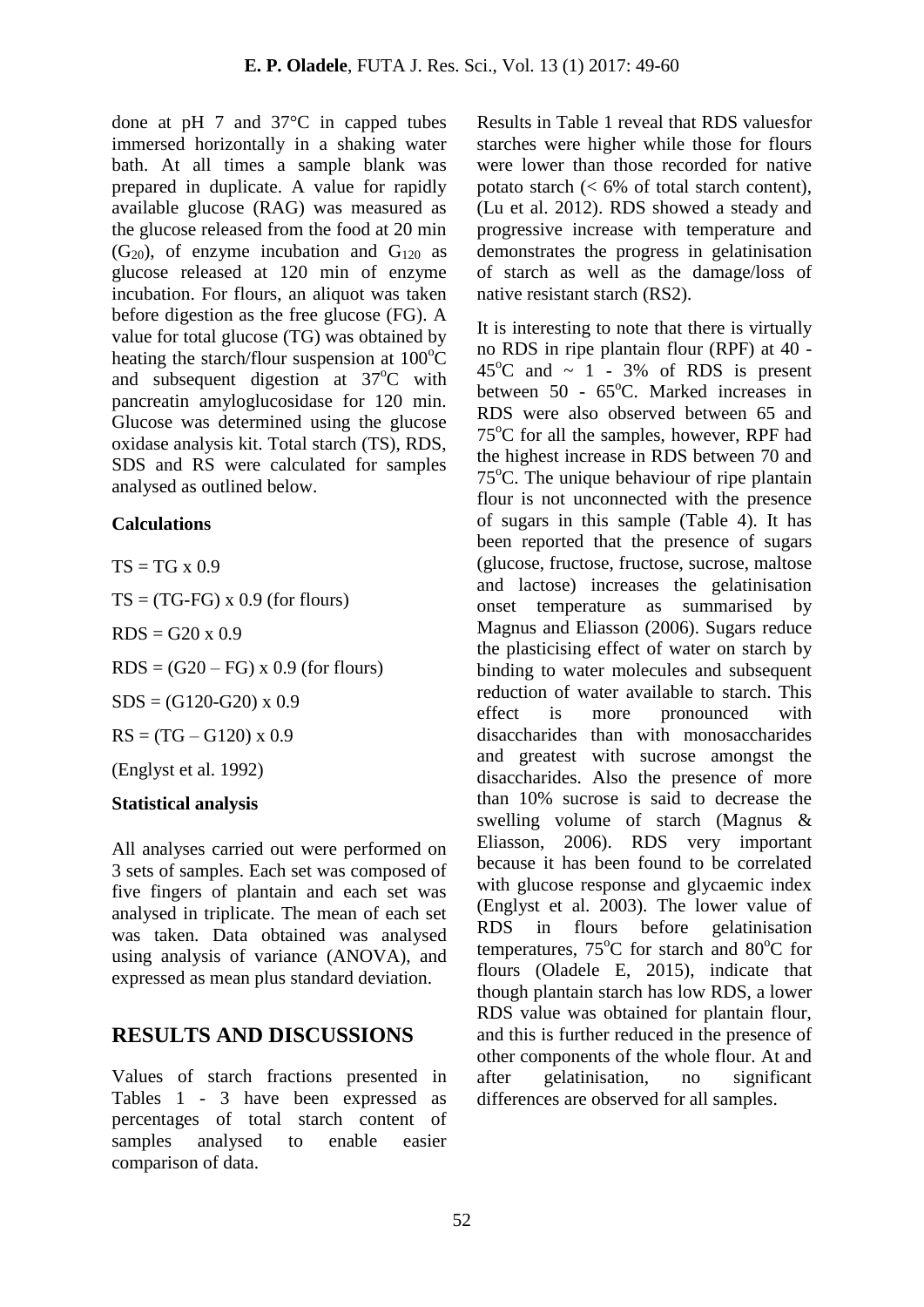done at pH 7 and 37°C in capped tubes immersed horizontally in a shaking water bath. At all times a sample blank was prepared in duplicate. A value for rapidly available glucose (RAG) was measured as the glucose released from the food at 20 min  $(G_{20})$ , of enzyme incubation and  $G_{120}$  as glucose released at 120 min of enzyme incubation. For flours, an aliquot was taken before digestion as the free glucose (FG). A value for total glucose (TG) was obtained by heating the starch/flour suspension at  $100^{\circ}$ C and subsequent digestion at  $37^{\circ}$ C with pancreatin amyloglucosidase for 120 min. Glucose was determined using the glucose oxidase analysis kit. Total starch (TS), RDS, SDS and RS were calculated for samples analysed as outlined below.

#### **Calculations**

 $TS = TG \times 0.9$ 

 $TS = (TG-FG) \times 0.9$  (for flours)

 $RDS = G20 \times 0.9$ 

 $RDS = (G20 - FG) \times 0.9$  (for flours)

 $SDS = (G120-G20) \times 0.9$ 

 $RS = (TG - G120) \times 0.9$ 

(Englyst et al. 1992)

## **Statistical analysis**

All analyses carried out were performed on 3 sets of samples. Each set was composed of five fingers of plantain and each set was analysed in triplicate. The mean of each set was taken. Data obtained was analysed using analysis of variance (ANOVA), and expressed as mean plus standard deviation.

## **RESULTS AND DISCUSSIONS**

Values of starch fractions presented in Tables 1 - 3 have been expressed as percentages of total starch content of samples analysed to enable easier comparison of data.

Results in Table 1 reveal that RDS valuesfor starches were higher while those for flours were lower than those recorded for native potato starch  $\langle \langle 6\% \rangle$  of total starch content). (Lu et al. 2012). RDS showed a steady and progressive increase with temperature and demonstrates the progress in gelatinisation of starch as well as the damage/loss of native resistant starch (RS2).

It is interesting to note that there is virtually no RDS in ripe plantain flour (RPF) at 40 -  $45^{\circ}$ C and  $\sim$  1 - 3% of RDS is present between 50 - 65°C. Marked increases in RDS were also observed between 65 and  $75^{\circ}$ C for all the samples, however, RPF had the highest increase in RDS between 70 and  $75^{\circ}$ C. The unique behaviour of ripe plantain flour is not unconnected with the presence of sugars in this sample (Table 4). It has been reported that the presence of sugars (glucose, fructose, fructose, sucrose, maltose and lactose) increases the gelatinisation onset temperature as summarised by Magnus and Eliasson (2006). Sugars reduce the plasticising effect of water on starch by binding to water molecules and subsequent reduction of water available to starch. This effect is more pronounced with disaccharides than with monosaccharides and greatest with sucrose amongst the disaccharides. Also the presence of more than 10% sucrose is said to decrease the swelling volume of starch (Magnus & Eliasson, 2006). RDS very important because it has been found to be correlated with glucose response and glycaemic index (Englyst et al. 2003). The lower value of RDS in flours before gelatinisation temperatures,  $75^{\circ}$ C for starch and  $80^{\circ}$ C for flours (Oladele E, 2015), indicate that though plantain starch has low RDS, a lower RDS value was obtained for plantain flour, and this is further reduced in the presence of other components of the whole flour. At and after gelatinisation, no significant differences are observed for all samples.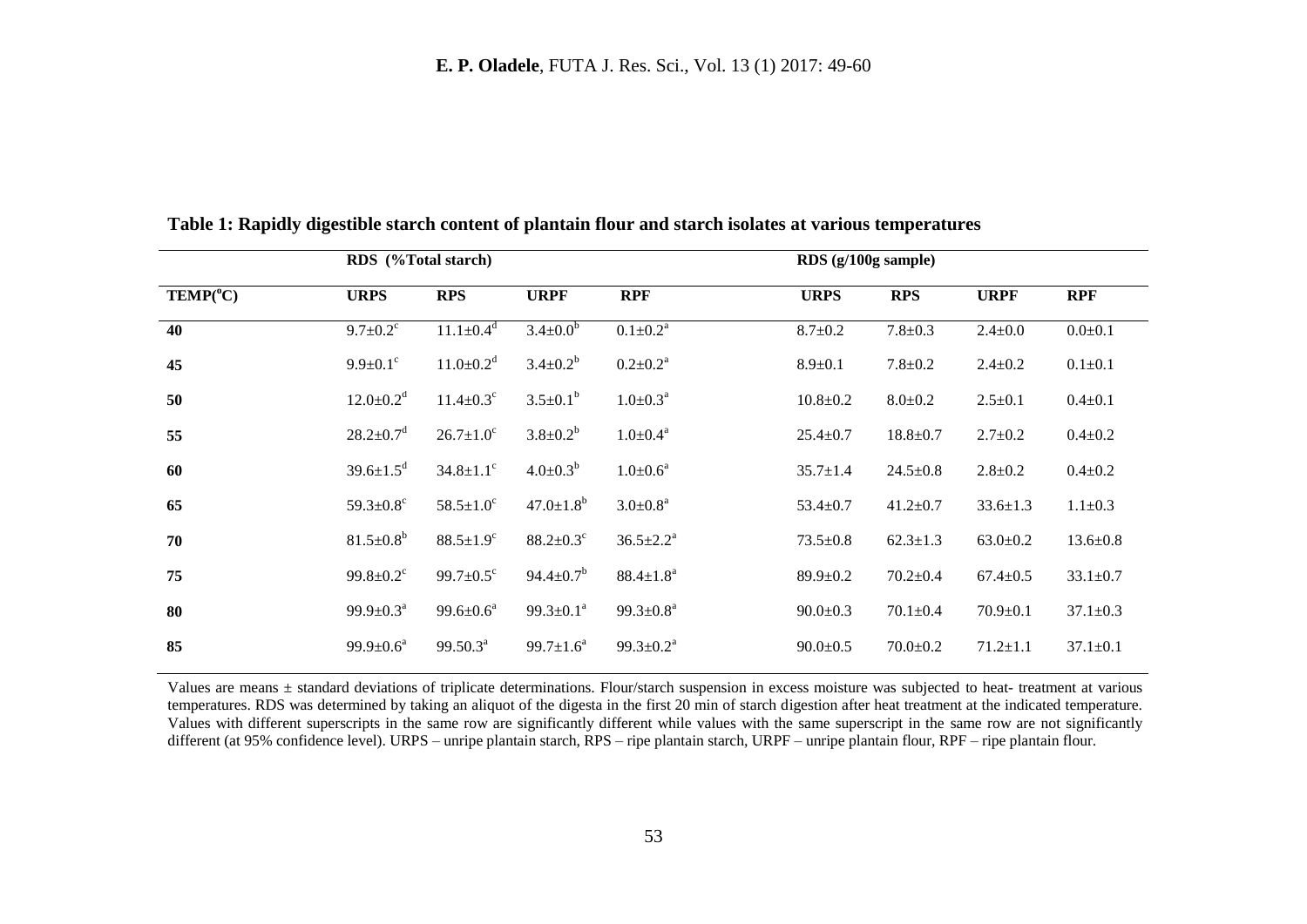|                                       | RDS (%Total starch)         |                             |                             |                              | $RDS$ (g/100g sample) |                |                |                |
|---------------------------------------|-----------------------------|-----------------------------|-----------------------------|------------------------------|-----------------------|----------------|----------------|----------------|
| $\mathbf{TEMP}({}^{\circ}\mathbf{C})$ | <b>URPS</b>                 | <b>RPS</b>                  | <b>URPF</b>                 | <b>RPF</b>                   | <b>URPS</b>           | <b>RPS</b>     | <b>URPF</b>    | <b>RPF</b>     |
| 40                                    | $9.7 \pm 0.2$ <sup>c</sup>  | $11.1 \pm 0.4$ <sup>d</sup> | $3.4 \pm 0.0$ <sup>b</sup>  | $0.1 \pm 0.2^{\overline{a}}$ | $8.7 \pm 0.2$         | $7.8 + 0.3$    | $2.4 \pm 0.0$  | $0.0 + 0.1$    |
| 45                                    | $9.9 \pm 0.1$ <sup>c</sup>  | $11.0 \pm 0.2$ <sup>d</sup> | $3.4 \pm 0.2^b$             | $0.2 \pm 0.2^a$              | $8.9 \pm 0.1$         | $7.8 \pm 0.2$  | $2.4 \pm 0.2$  | $0.1 \pm 0.1$  |
| 50                                    | $12.0 \pm 0.2$ <sup>d</sup> | $11.4 \pm 0.3$ <sup>c</sup> | $3.5 \pm 0.1^b$             | $1.0 \pm 0.3^a$              | $10.8 \pm 0.2$        | $8.0 \pm 0.2$  | $2.5 \pm 0.1$  | $0.4 \pm 0.1$  |
| 55                                    | $28.2 \pm 0.7$ <sup>d</sup> | $26.7 \pm 1.0^{\circ}$      | $3.8 \pm 0.2^b$             | $1.0 \pm 0.4^a$              | $25.4 \pm 0.7$        | $18.8 \pm 0.7$ | $2.7 \pm 0.2$  | $0.4 \pm 0.2$  |
| 60                                    | $39.6 \pm 1.5^d$            | $34.8 \pm 1.1$ °            | $4.0 \pm 0.3^{b}$           | $1.0 \pm 0.6^a$              | $35.7 \pm 1.4$        | $24.5 \pm 0.8$ | $2.8 \pm 0.2$  | $0.4 \pm 0.2$  |
| 65                                    | 59.3 $\pm$ 0.8 $^{\circ}$   | $58.5 \pm 1.0^{\circ}$      | $47.0 \pm 1.8^b$            | $3.0 \pm 0.8^a$              | $53.4 \pm 0.7$        | $41.2 \pm 0.7$ | $33.6 \pm 1.3$ | $1.1 \pm 0.3$  |
| 70                                    | $81.5 \pm 0.8^b$            | $88.5 \pm 1.9^{\circ}$      | $88.2 \pm 0.3$ <sup>c</sup> | $36.5 \pm 2.2^a$             | $73.5 \pm 0.8$        | $62.3 \pm 1.3$ | $63.0 \pm 0.2$ | $13.6 \pm 0.8$ |
| 75                                    | $99.8 \pm 0.2$ <sup>c</sup> | 99.7 $\pm 0.5^{\circ}$      | $94.4 \pm 0.7^b$            | $88.4 \pm 1.8^a$             | $89.9 \pm 0.2$        | $70.2 \pm 0.4$ | $67.4 \pm 0.5$ | $33.1 \pm 0.7$ |
| 80                                    | $99.9 \pm 0.3^{\text{a}}$   | $99.6 \pm 0.6^a$            | $99.3 \pm 0.1^a$            | $99.3 \pm 0.8^a$             | $90.0 \pm 0.3$        | $70.1 \pm 0.4$ | $70.9 \pm 0.1$ | $37.1 \pm 0.3$ |
| 85                                    | $99.9 \pm 0.6^{\circ}$      | $99.50.3^a$                 | $99.7 \pm 1.6^a$            | $99.3 \pm 0.2^a$             | $90.0 \pm 0.5$        | $70.0 \pm 0.2$ | $71.2 \pm 1.1$ | $37.1 \pm 0.1$ |

**Table 1: Rapidly digestible starch content of plantain flour and starch isolates at various temperatures**

Values are means ± standard deviations of triplicate determinations. Flour/starch suspension in excess moisture was subjected to heat- treatment at various temperatures. RDS was determined by taking an aliquot of the digesta in the first 20 min of starch digestion after heat treatment at the indicated temperature. Values with different superscripts in the same row are significantly different while values with the same superscript in the same row are not significantly different (at 95% confidence level). URPS – unripe plantain starch, RPS – ripe plantain starch, URPF – unripe plantain flour, RPF – ripe plantain flour.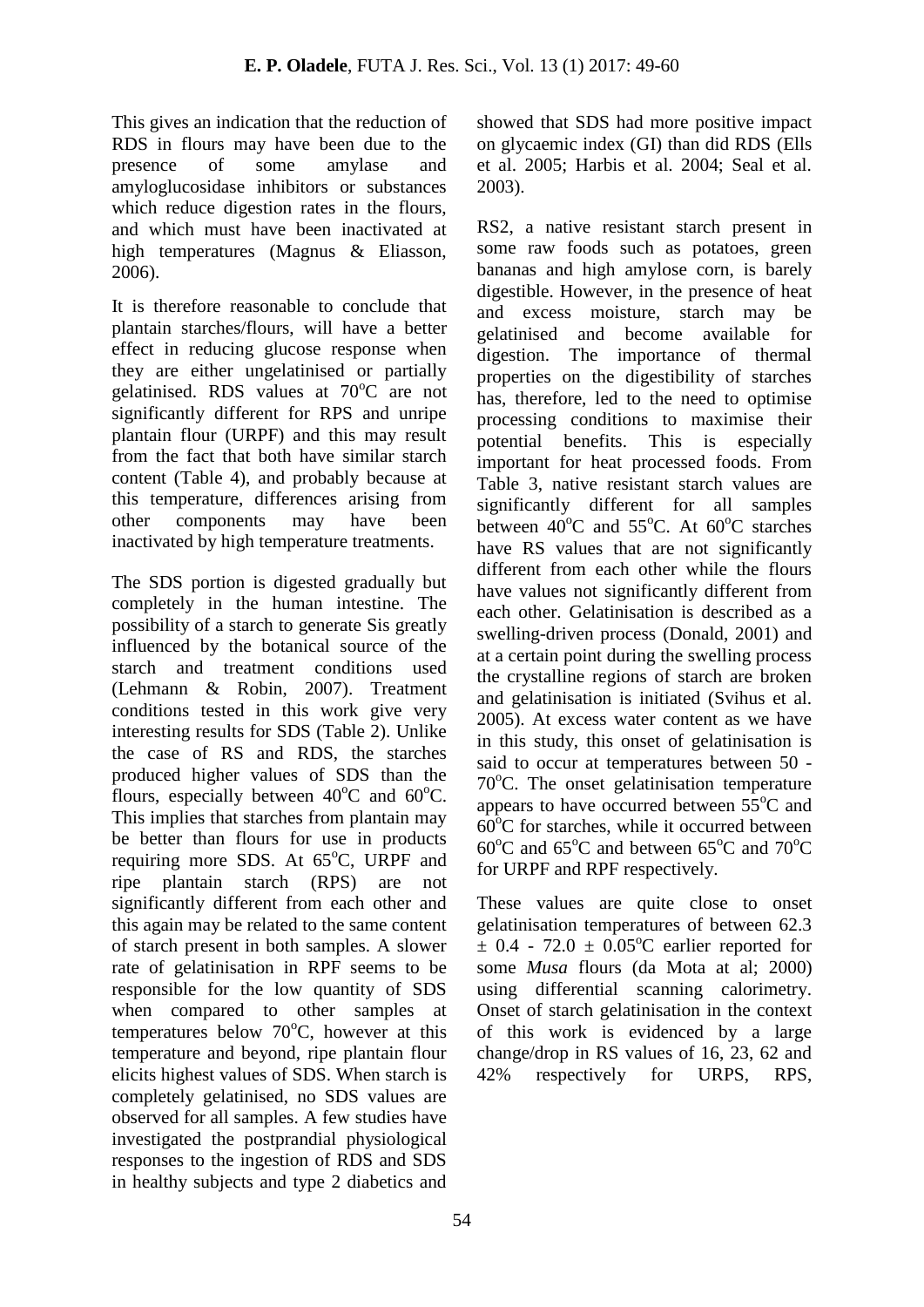This gives an indication that the reduction of RDS in flours may have been due to the presence of some amylase and amyloglucosidase inhibitors or substances which reduce digestion rates in the flours, and which must have been inactivated at high temperatures (Magnus & Eliasson, 2006).

It is therefore reasonable to conclude that plantain starches/flours, will have a better effect in reducing glucose response when they are either ungelatinised or partially gelatinised. RDS values at 70°C are not significantly different for RPS and unripe plantain flour (URPF) and this may result from the fact that both have similar starch content (Table 4), and probably because at this temperature, differences arising from other components may have been inactivated by high temperature treatments.

The SDS portion is digested gradually but completely in the human intestine. The possibility of a starch to generate Sis greatly influenced by the botanical source of the starch and treatment conditions used (Lehmann & Robin, 2007). Treatment conditions tested in this work give very interesting results for SDS (Table 2). Unlike the case of RS and RDS, the starches produced higher values of SDS than the flours, especially between  $40^{\circ}$ C and  $60^{\circ}$ C. This implies that starches from plantain may be better than flours for use in products requiring more SDS. At  $65^{\circ}$ C, URPF and ripe plantain starch (RPS) are not significantly different from each other and this again may be related to the same content of starch present in both samples. A slower rate of gelatinisation in RPF seems to be responsible for the low quantity of SDS when compared to other samples at temperatures below  $70^{\circ}$ C, however at this temperature and beyond, ripe plantain flour elicits highest values of SDS. When starch is completely gelatinised, no SDS values are observed for all samples. A few studies have investigated the postprandial physiological responses to the ingestion of RDS and SDS in healthy subjects and type 2 diabetics and

showed that SDS had more positive impact on glycaemic index (GI) than did RDS (Ells et al. 2005; Harbis et al. 2004; Seal et al. 2003).

RS2, a native resistant starch present in some raw foods such as potatoes, green bananas and high amylose corn, is barely digestible. However, in the presence of heat and excess moisture, starch may be gelatinised and become available for digestion. The importance of thermal properties on the digestibility of starches has, therefore, led to the need to optimise processing conditions to maximise their potential benefits. This is especially important for heat processed foods. From Table 3, native resistant starch values are significantly different for all samples between  $40^{\circ}$ C and  $55^{\circ}$ C. At  $60^{\circ}$ C starches have RS values that are not significantly different from each other while the flours have values not significantly different from each other. Gelatinisation is described as a swelling-driven process (Donald, 2001) and at a certain point during the swelling process the crystalline regions of starch are broken and gelatinisation is initiated (Svihus et al. 2005). At excess water content as we have in this study, this onset of gelatinisation is said to occur at temperatures between 50 -  $70^{\circ}$ C. The onset gelatinisation temperature appears to have occurred between  $55^{\circ}$ C and  $60^{\circ}$ C for starches, while it occurred between  $60^{\circ}$ C and  $65^{\circ}$ C and between  $65^{\circ}$ C and  $70^{\circ}$ C for URPF and RPF respectively.

These values are quite close to onset gelatinisation temperatures of between 62.3  $\pm$  0.4 - 72.0  $\pm$  0.05<sup>o</sup>C earlier reported for some *Musa* flours (da Mota at al; 2000) using differential scanning calorimetry. Onset of starch gelatinisation in the context of this work is evidenced by a large change/drop in RS values of 16, 23, 62 and 42% respectively for URPS, RPS,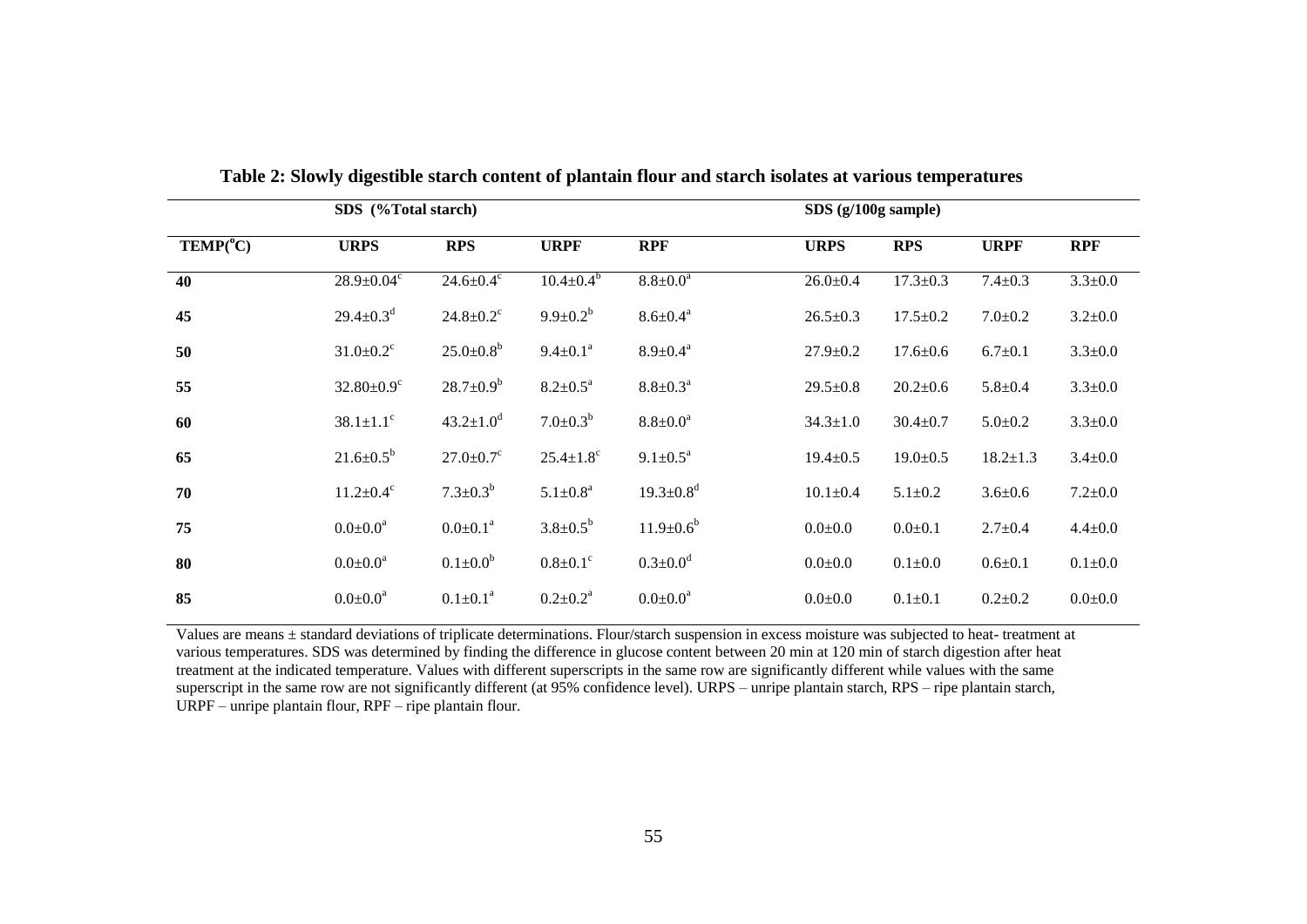|                                       | SDS (%Total starch)          |                             |                             |                             | $SDS$ (g/100g sample) |                |                |               |
|---------------------------------------|------------------------------|-----------------------------|-----------------------------|-----------------------------|-----------------------|----------------|----------------|---------------|
| $\mathbf{TEMP}({}^{\circ}\mathbf{C})$ | <b>URPS</b>                  | <b>RPS</b>                  | <b>URPF</b>                 | <b>RPF</b>                  | <b>URPS</b>           | <b>RPS</b>     | <b>URPF</b>    | <b>RPF</b>    |
| 40                                    | $28.9 \pm 0.04$ <sup>c</sup> | $24.6 \pm 0.4$ °            | $10.4 \pm 0.4^{\circ}$      | $8.8 \pm 0.0^a$             | $26.0 \pm 0.4$        | $17.3 \pm 0.3$ | $7.4 \pm 0.3$  | $3.3 \pm 0.0$ |
| 45                                    | $29.4 \pm 0.3^d$             | $24.8 \pm 0.2$ <sup>c</sup> | $9.9 \pm 0.2^b$             | $8.6 \pm 0.4^a$             | $26.5 \pm 0.3$        | $17.5 \pm 0.2$ | $7.0 \pm 0.2$  | $3.2 \pm 0.0$ |
| 50                                    | $31.0 \pm 0.2$ <sup>c</sup>  | $25.0 \pm 0.8^b$            | $9.4 \pm 0.1^a$             | $8.9 \pm 0.4^a$             | $27.9 \pm 0.2$        | $17.6 \pm 0.6$ | $6.7 \pm 0.1$  | $3.3 \pm 0.0$ |
| 55                                    | $32.80 \pm 0.9$ <sup>c</sup> | $28.7 \pm 0.9^b$            | $8.2 \pm 0.5^a$             | $8.8 \pm 0.3^{\text{a}}$    | $29.5 \pm 0.8$        | $20.2 \pm 0.6$ | $5.8 + 0.4$    | $3.3 \pm 0.0$ |
| 60                                    | $38.1 \pm 1.1$ <sup>c</sup>  | $43.2 \pm 1.0^d$            | $7.0 \pm 0.3^b$             | $8.8 \pm 0.0^a$             | $34.3 \pm 1.0$        | $30.4 \pm 0.7$ | $5.0 \pm 0.2$  | $3.3 \pm 0.0$ |
| 65                                    | $21.6 \pm 0.5^b$             | $27.0 \pm 0.7$ <sup>c</sup> | $25.4 \pm 1.8$ <sup>c</sup> | $9.1 \pm 0.5^a$             | $19.4 \pm 0.5$        | $19.0 \pm 0.5$ | $18.2 \pm 1.3$ | $3.4 \pm 0.0$ |
| 70                                    | $11.2 \pm 0.4$ <sup>c</sup>  | $7.3 \pm 0.3^b$             | $5.1 \pm 0.8^a$             | $19.3 \pm 0.8$ <sup>d</sup> | $10.1 \pm 0.4$        | $5.1 \pm 0.2$  | $3.6 \pm 0.6$  | $7.2 \pm 0.0$ |
| 75                                    | $0.0 \pm 0.0^a$              | $0.0 \pm 0.1^a$             | $3.8 \pm 0.5^b$             | $11.9 \pm 0.6^b$            | $0.0{\pm}0.0$         | $0.0 + 0.1$    | $2.7 \pm 0.4$  | $4.4 \pm 0.0$ |
| 80                                    | $0.0 \pm 0.0^a$              | $0.1 \pm 0.0^b$             | $0.8 \pm 0.1$ <sup>c</sup>  | $0.3 \pm 0.0^d$             | $0.0{\pm}0.0$         | $0.1 \pm 0.0$  | $0.6 \pm 0.1$  | $0.1 + 0.0$   |
| 85                                    | $0.0 \pm 0.0^a$              | $0.1 \pm 0.1^a$             | $0.2 \pm 0.2^{\text{a}}$    | $0.0 \pm 0.0^a$             | $0.0{\pm}0.0$         | $0.1 \pm 0.1$  | $0.2 \pm 0.2$  | $0.0 + 0.0$   |

**Table 2: Slowly digestible starch content of plantain flour and starch isolates at various temperatures**

Values are means ± standard deviations of triplicate determinations. Flour/starch suspension in excess moisture was subjected to heat- treatment at various temperatures. SDS was determined by finding the difference in glucose content between 20 min at 120 min of starch digestion after heat treatment at the indicated temperature. Values with different superscripts in the same row are significantly different while values with the same superscript in the same row are not significantly different (at 95% confidence level). URPS – unripe plantain starch, RPS – ripe plantain starch, URPF – unripe plantain flour, RPF – ripe plantain flour.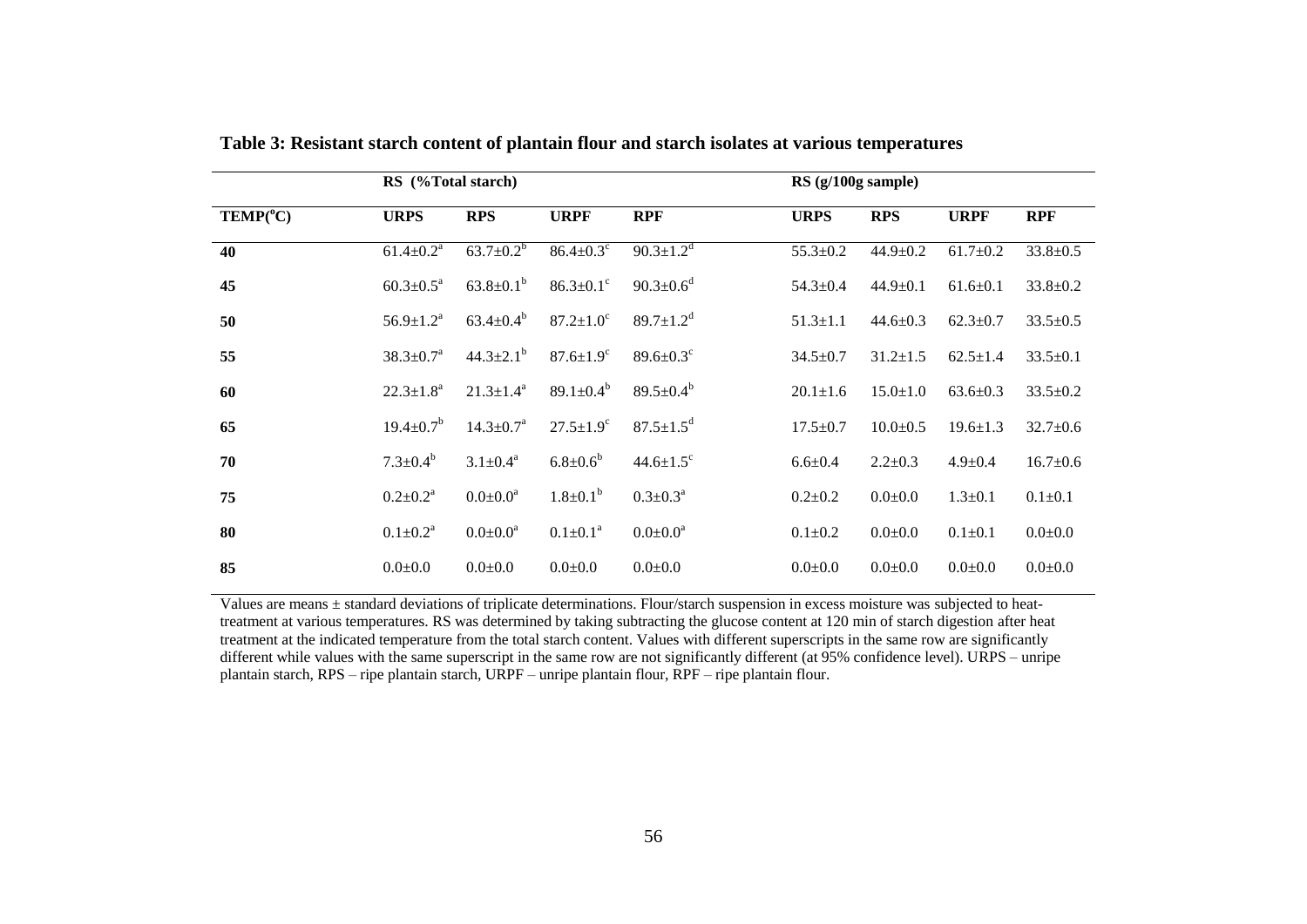|                                       | RS (%Total starch)        |                           |                             |                             | $RS$ (g/100g sample) |  |                |                |                |
|---------------------------------------|---------------------------|---------------------------|-----------------------------|-----------------------------|----------------------|--|----------------|----------------|----------------|
| $\mathbf{TEMP}({}^{\circ}\mathbf{C})$ | <b>URPS</b>               | <b>RPS</b>                | <b>URPF</b>                 | <b>RPF</b>                  | <b>URPS</b>          |  | <b>RPS</b>     | <b>URPF</b>    | <b>RPF</b>     |
| 40                                    | $61.4 \pm 0.2^a$          | $63.7 \pm 0.2^b$          | $86.4 \pm 0.3$ °            | $90.3 \pm 1.2$ <sup>d</sup> | $55.3 \pm 0.2$       |  | $44.9 \pm 0.2$ | $61.7 \pm 0.2$ | $33.8 \pm 0.5$ |
| 45                                    | $60.3 \pm 0.5^{\text{a}}$ | $63.8 \pm 0.1^b$          | $86.3{\pm}0.1^{\circ}$      | $90.3 \pm 0.6^d$            | $54.3 \pm 0.4$       |  | $44.9 \pm 0.1$ | $61.6 \pm 0.1$ | $33.8 \pm 0.2$ |
| 50                                    | $56.9 \pm 1.2^a$          | $63.4 \pm 0.4^b$          | $87.2 \pm 1.0^{\circ}$      | 89.7 $\pm$ 1.2 <sup>d</sup> | $51.3 \pm 1.1$       |  | $44.6 \pm 0.3$ | $62.3 \pm 0.7$ | $33.5 \pm 0.5$ |
| 55                                    | $38.3 \pm 0.7^{\text{a}}$ | $44.3 \pm 2.1^{\circ}$    | $87.6 \pm 1.9^{\circ}$      | $89.6 \pm 0.3$ <sup>c</sup> | $34.5 \pm 0.7$       |  | $31.2 \pm 1.5$ | $62.5 \pm 1.4$ | $33.5 \pm 0.1$ |
| 60                                    | $22.3 \pm 1.8^a$          | $21.3 \pm 1.4^a$          | 89.1 $\pm$ 0.4 <sup>b</sup> | 89.5 $\pm$ 0.4 <sup>b</sup> | $20.1 \pm 1.6$       |  | $15.0 \pm 1.0$ | $63.6 \pm 0.3$ | $33.5 \pm 0.2$ |
| 65                                    | $19.4 \pm 0.7^{\rm b}$    | $14.3 \pm 0.7^{\text{a}}$ | $27.5 \pm 1.9^c$            | $87.5 \pm 1.5^d$            | $17.5 \pm 0.7$       |  | $10.0+0.5$     | $19.6 \pm 1.3$ | $32.7 \pm 0.6$ |
| 70                                    | $7.3 \pm 0.4^b$           | $3.1 \pm 0.4^a$           | $6.8 \pm 0.6^b$             | $44.6 \pm 1.5$ <sup>c</sup> | $6.6 \pm 0.4$        |  | $2.2 \pm 0.3$  | $4.9 \pm 0.4$  | $16.7 \pm 0.6$ |
| 75                                    | $0.2 \pm 0.2^{\text{a}}$  | $0.0 \pm 0.0^a$           | $1.8 \pm 0.1^b$             | $0.3 \pm 0.3^a$             | $0.2 \pm 0.2$        |  | $0.0{\pm}0.0$  | $1.3 \pm 0.1$  | $0.1 \pm 0.1$  |
| 80                                    | $0.1 \pm 0.2^{\text{a}}$  | $0.0 \pm 0.0^a$           | $0.1 \pm 0.1^a$             | $0.0 \pm 0.0^a$             | $0.1 \pm 0.2$        |  | $0.0 + 0.0$    | $0.1 \pm 0.1$  | $0.0 + 0.0$    |
| 85                                    | $0.0{\pm}0.0$             | $0.0 \pm 0.0$             | $0.0{\pm}0.0$               | $0.0 + 0.0$                 | $0.0 \pm 0.0$        |  | $0.0{\pm}0.0$  | $0.0{\pm}0.0$  | $0.0 + 0.0$    |

**Table 3: Resistant starch content of plantain flour and starch isolates at various temperatures**

Values are means  $\pm$  standard deviations of triplicate determinations. Flour/starch suspension in excess moisture was subjected to heattreatment at various temperatures. RS was determined by taking subtracting the glucose content at 120 min of starch digestion after heat treatment at the indicated temperature from the total starch content. Values with different superscripts in the same row are significantly different while values with the same superscript in the same row are not significantly different (at 95% confidence level). URPS – unripe plantain starch, RPS – ripe plantain starch, URPF – unripe plantain flour, RPF – ripe plantain flour.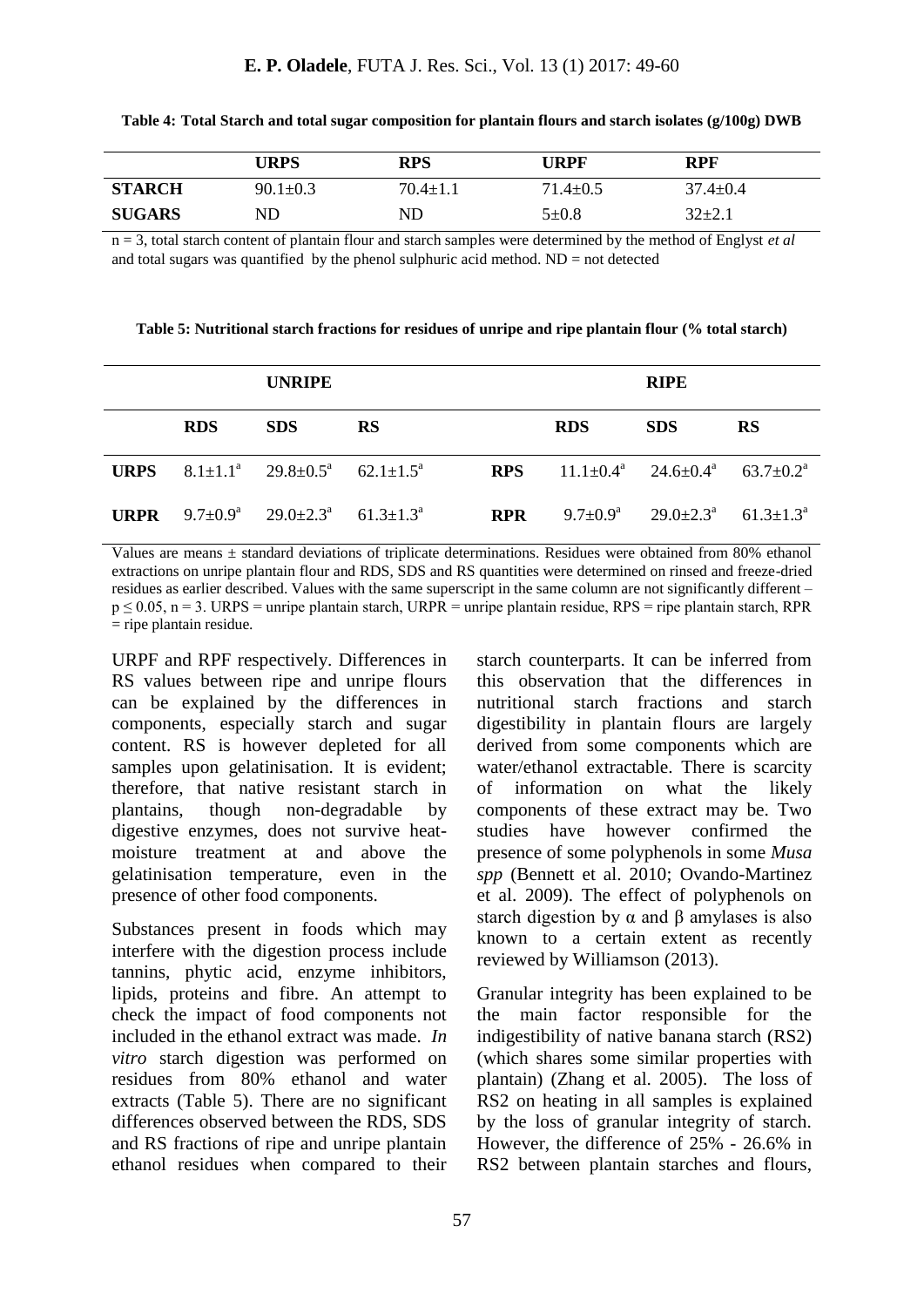|               | <b>URPS</b>    | <b>RPS</b>     | URPF         | <b>RPF</b> |
|---------------|----------------|----------------|--------------|------------|
| <b>STARCH</b> | $90.1 \pm 0.3$ | $70.4 \pm 1.1$ | $.4 \pm 0.5$ | 37.4±0.4   |
| <b>SUGARS</b> | ND             | ND             | 5±0.8        | $32+2.1$   |

**Table 4: Total Starch and total sugar composition for plantain flours and starch isolates (g/100g) DWB**

n = 3, total starch content of plantain flour and starch samples were determined by the method of Englyst *et al* and total sugars was quantified by the phenol sulphuric acid method.  $ND = not$  detected

**Table 5: Nutritional starch fractions for residues of unripe and ripe plantain flour (% total starch)**

|             |            | <b>UNRIPE</b>                                                    |           |            |                                              | <b>RIPE</b>                  |                      |
|-------------|------------|------------------------------------------------------------------|-----------|------------|----------------------------------------------|------------------------------|----------------------|
|             | <b>RDS</b> | <b>SDS</b>                                                       | <b>RS</b> |            | <b>RDS</b>                                   | <b>SDS</b>                   | <b>RS</b>            |
| <b>URPS</b> |            | 8.1±1.1 <sup>a</sup> 29.8±0.5 <sup>a</sup> 62.1±1.5 <sup>a</sup> |           | <b>RPS</b> | $11.1\pm0.4^a$ $24.6\pm0.4^a$ $63.7\pm0.2^a$ |                              |                      |
| <b>URPR</b> |            | 9.7±0.9 <sup>a</sup> 29.0±2.3 <sup>a</sup> 61.3±1.3 <sup>a</sup> |           | <b>RPR</b> |                                              | $9.7\pm0.9^a$ $29.0\pm2.3^a$ | $61.3 + 1.3^{\circ}$ |

Values are means  $\pm$  standard deviations of triplicate determinations. Residues were obtained from 80% ethanol extractions on unripe plantain flour and RDS, SDS and RS quantities were determined on rinsed and freeze-dried residues as earlier described. Values with the same superscript in the same column are not significantly different –  $p \le 0.05$ , n = 3. URPS = unripe plantain starch, URPR = unripe plantain residue, RPS = ripe plantain starch, RPR  $=$  ripe plantain residue.

URPF and RPF respectively. Differences in RS values between ripe and unripe flours can be explained by the differences in components, especially starch and sugar content. RS is however depleted for all samples upon gelatinisation. It is evident; therefore, that native resistant starch in plantains, though non-degradable by digestive enzymes, does not survive heatmoisture treatment at and above the gelatinisation temperature, even in the presence of other food components.

Substances present in foods which may interfere with the digestion process include tannins, phytic acid, enzyme inhibitors, lipids, proteins and fibre. An attempt to check the impact of food components not included in the ethanol extract was made. *In vitro* starch digestion was performed on residues from 80% ethanol and water extracts (Table 5). There are no significant differences observed between the RDS, SDS and RS fractions of ripe and unripe plantain ethanol residues when compared to their

starch counterparts. It can be inferred from this observation that the differences in nutritional starch fractions and starch digestibility in plantain flours are largely derived from some components which are water/ethanol extractable. There is scarcity of information on what the likely components of these extract may be. Two studies have however confirmed the presence of some polyphenols in some *Musa spp* (Bennett et al. 2010; Ovando-Martinez et al. 2009). The effect of polyphenols on starch digestion by  $\alpha$  and  $\beta$  amylases is also known to a certain extent as recently reviewed by Williamson (2013).

Granular integrity has been explained to be the main factor responsible for the indigestibility of native banana starch (RS2) (which shares some similar properties with plantain) (Zhang et al. 2005). The loss of RS2 on heating in all samples is explained by the loss of granular integrity of starch. However, the difference of 25% - 26.6% in RS2 between plantain starches and flours,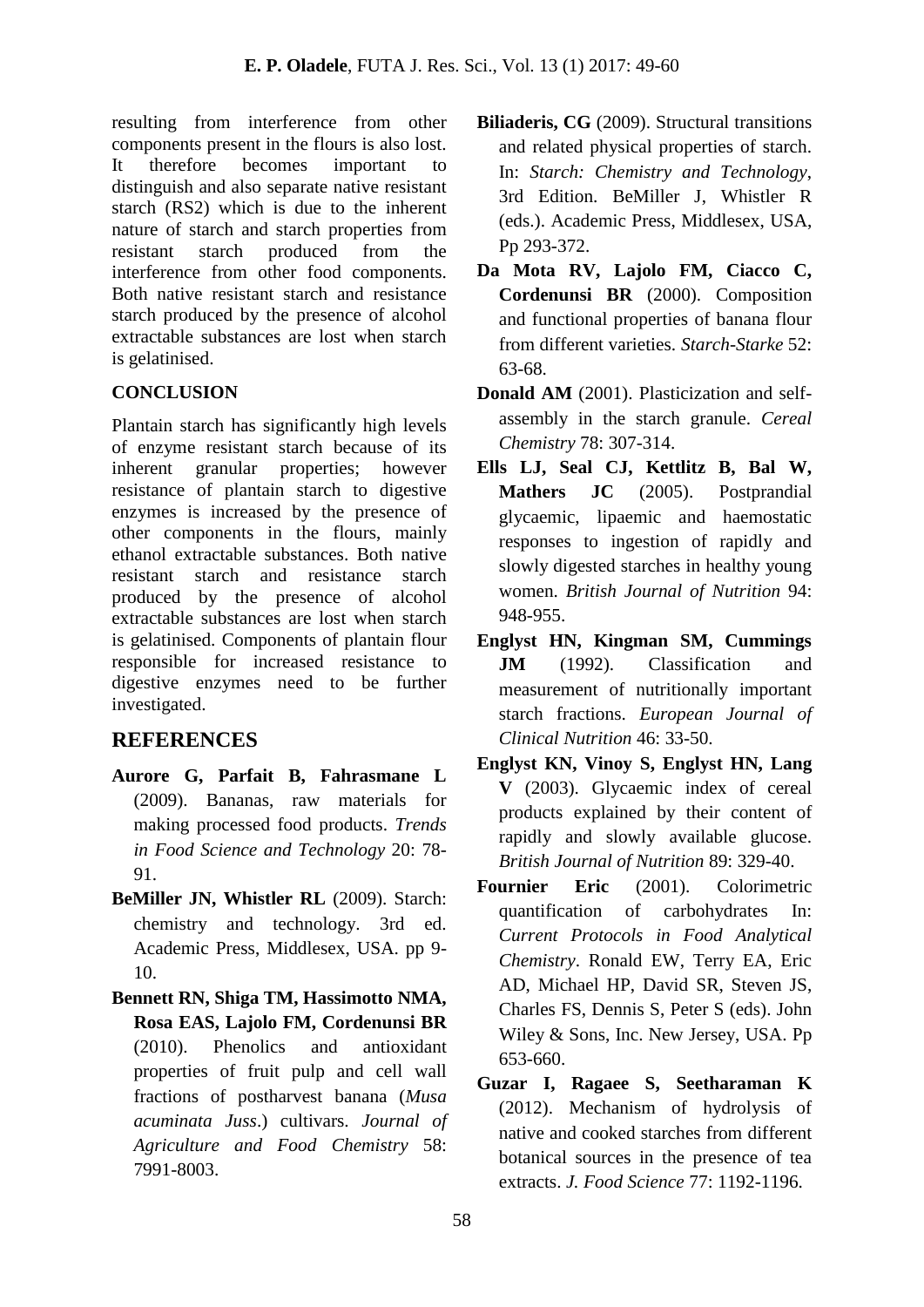resulting from interference from other components present in the flours is also lost. It therefore becomes important to distinguish and also separate native resistant starch (RS2) which is due to the inherent nature of starch and starch properties from resistant starch produced from the interference from other food components. Both native resistant starch and resistance starch produced by the presence of alcohol extractable substances are lost when starch is gelatinised.

## **CONCLUSION**

Plantain starch has significantly high levels of enzyme resistant starch because of its inherent granular properties; however resistance of plantain starch to digestive enzymes is increased by the presence of other components in the flours, mainly ethanol extractable substances. Both native resistant starch and resistance starch produced by the presence of alcohol extractable substances are lost when starch is gelatinised. Components of plantain flour responsible for increased resistance to digestive enzymes need to be further investigated.

# **REFERENCES**

- **Aurore G, Parfait B, Fahrasmane L** (2009). Bananas, raw materials for making processed food products. *Trends in Food Science and Technology* 20: 78- 91.
- **BeMiller JN, Whistler RL** (2009). Starch: chemistry and technology. 3rd ed. Academic Press, Middlesex, USA. pp 9- 10.
- **Bennett RN, Shiga TM, Hassimotto NMA, Rosa EAS, Lajolo FM, Cordenunsi BR** (2010). Phenolics and antioxidant properties of fruit pulp and cell wall fractions of postharvest banana (*Musa acuminata Juss*.) cultivars. *Journal of Agriculture and Food Chemistry* 58: 7991-8003.
- **Biliaderis, CG** (2009). Structural transitions and related physical properties of starch. In: *Starch: Chemistry and Technology*, 3rd Edition. BeMiller J, Whistler R (eds.). Academic Press, Middlesex, USA, Pp 293-372.
- **Da Mota RV, Lajolo FM, Ciacco C, Cordenunsi BR** (2000). Composition and functional properties of banana flour from different varieties. *Starch-Starke* 52: 63-68.
- **Donald AM** (2001). Plasticization and selfassembly in the starch granule. *Cereal Chemistry* 78: 307-314.
- **Ells LJ, Seal CJ, Kettlitz B, Bal W, Mathers JC** (2005). Postprandial glycaemic, lipaemic and haemostatic responses to ingestion of rapidly and slowly digested starches in healthy young women. *British Journal of Nutrition* 94: 948-955.
- **Englyst HN, Kingman SM, Cummings JM** (1992). Classification and measurement of nutritionally important starch fractions. *European Journal of Clinical Nutrition* 46: 33-50.
- **Englyst KN, Vinoy S, Englyst HN, Lang V** (2003). Glycaemic index of cereal products explained by their content of rapidly and slowly available glucose. *British Journal of Nutrition* 89: 329-40.
- **Fournier Eric** (2001). Colorimetric quantification of carbohydrates In: *Current Protocols in Food Analytical Chemistry*. Ronald EW, Terry EA, Eric AD, Michael HP, David SR, Steven JS, Charles FS, Dennis S, Peter S (eds). John Wiley & Sons, Inc. New Jersey, USA. Pp 653-660.
- **Guzar I, Ragaee S, Seetharaman K**  (2012). Mechanism of hydrolysis of native and cooked starches from different botanical sources in the presence of tea extracts. *J. Food Science* 77: 1192-1196.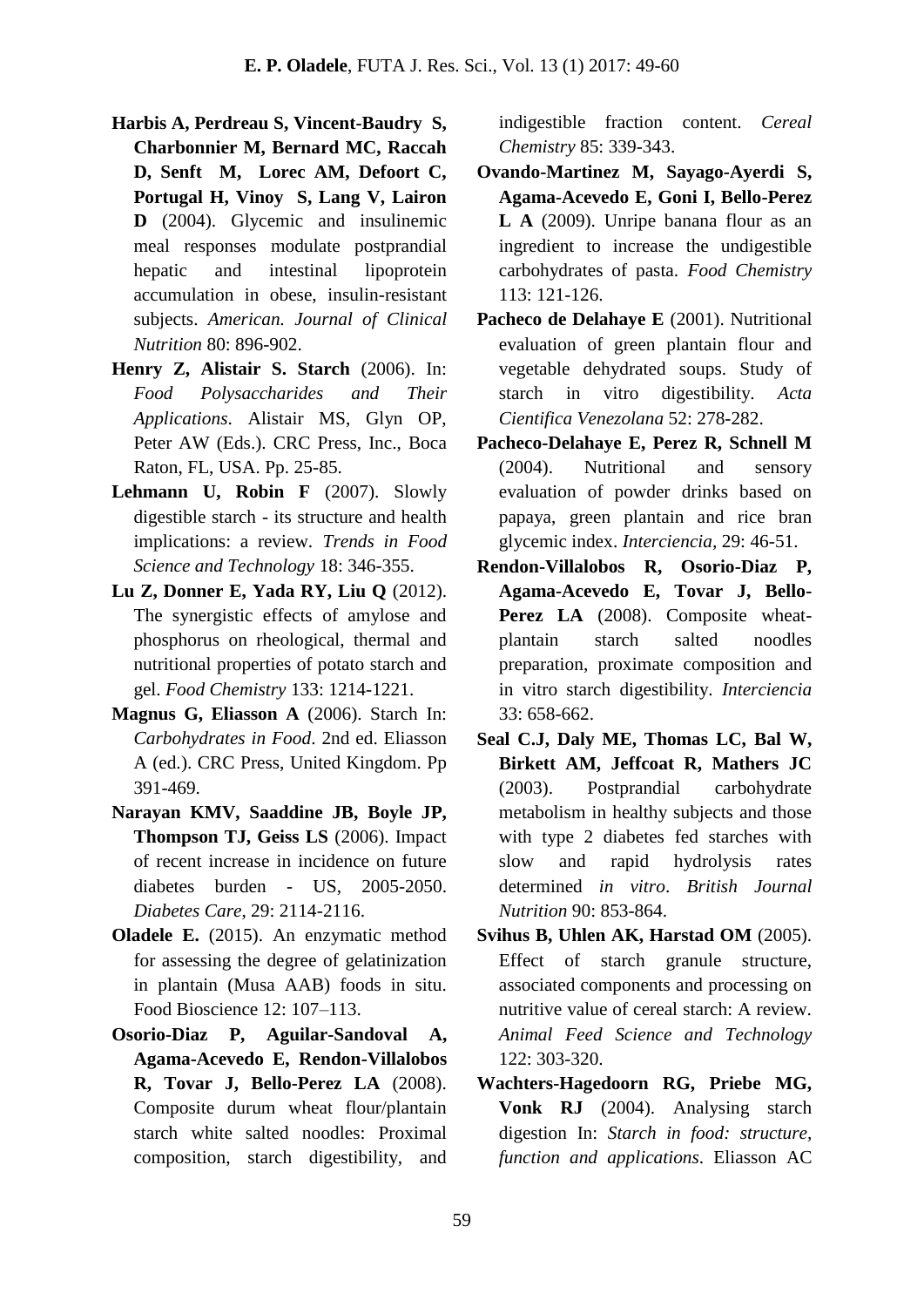- **Harbis A, Perdreau S, Vincent-Baudry S, Charbonnier M, Bernard MC, Raccah D, Senft M, Lorec AM, Defoort C, Portugal H, Vinoy S, Lang V, Lairon D** (2004). Glycemic and insulinemic meal responses modulate postprandial hepatic and intestinal lipoprotein accumulation in obese, insulin-resistant subjects. *American. Journal of Clinical Nutrition* 80: 896-902.
- **Henry Z, Alistair S. Starch** (2006). In: *Food Polysaccharides and Their Applications*. Alistair MS, Glyn OP, Peter AW (Eds.). CRC Press, Inc., Boca Raton, FL, USA. Pp. 25-85.
- **Lehmann U, Robin F** (2007). Slowly digestible starch - its structure and health implications: a review. *Trends in Food Science and Technology* 18: 346-355.
- **Lu Z, Donner E, Yada RY, Liu Q** (2012). The synergistic effects of amylose and phosphorus on rheological, thermal and nutritional properties of potato starch and gel. *Food Chemistry* 133: 1214-1221.
- **Magnus G, Eliasson A** (2006). Starch In: *Carbohydrates in Food*. 2nd ed. Eliasson A (ed.). CRC Press, United Kingdom. Pp 391-469.
- **Narayan KMV, Saaddine JB, Boyle JP, Thompson TJ, Geiss LS** (2006). Impact of recent increase in incidence on future diabetes burden - US, 2005-2050. *Diabetes Care*, 29: 2114-2116.
- **Oladele E.** (2015). An enzymatic method for assessing the degree of gelatinization in plantain (Musa AAB) foods in situ. Food Bioscience 12: 107–113.
- **Osorio-Diaz P, Aguilar-Sandoval A, Agama-Acevedo E, Rendon-Villalobos R, Tovar J, Bello-Perez LA** (2008). Composite durum wheat flour/plantain starch white salted noodles: Proximal composition, starch digestibility, and

indigestible fraction content. *Cereal Chemistry* 85: 339-343.

- **Ovando-Martinez M, Sayago-Ayerdi S, Agama-Acevedo E, Goni I, Bello-Perez L A** (2009). Unripe banana flour as an ingredient to increase the undigestible carbohydrates of pasta. *Food Chemistry* 113: 121-126.
- Pacheco de Delahaye E (2001). Nutritional evaluation of green plantain flour and vegetable dehydrated soups. Study of starch in vitro digestibility. *Acta Cientifica Venezolana* 52: 278-282.
- **Pacheco-Delahaye E, Perez R, Schnell M** (2004). Nutritional and sensory evaluation of powder drinks based on papaya, green plantain and rice bran glycemic index. *Interciencia,* 29: 46-51.
- **Rendon-Villalobos R, Osorio-Diaz P, Agama-Acevedo E, Tovar J, Bello-**Perez LA (2008). Composite wheatplantain starch salted noodles preparation, proximate composition and in vitro starch digestibility. *Interciencia* 33: 658-662.
- **Seal C.J, Daly ME, Thomas LC, Bal W, Birkett AM, Jeffcoat R, Mathers JC** (2003). Postprandial carbohydrate metabolism in healthy subjects and those with type 2 diabetes fed starches with slow and rapid hydrolysis rates determined *in vitro*. *British Journal Nutrition* 90: 853-864.
- **Svihus B, Uhlen AK, Harstad OM** (2005). Effect of starch granule structure, associated components and processing on nutritive value of cereal starch: A review. *Animal Feed Science and Technology* 122: 303-320.
- **Wachters-Hagedoorn RG, Priebe MG, Vonk RJ** (2004). Analysing starch digestion In: *Starch in food: structure, function and applications*. Eliasson AC